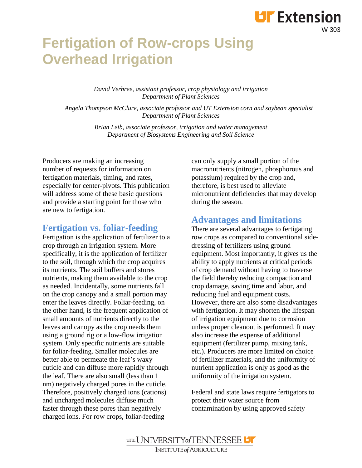# **Fertigation of Row-crops Using Overhead Irrigation**

*David Verbree, assistant professor, crop physiology and irrigation Department of Plant Sciences*

*Angela Thompson McClure, associate professor and UT Extension corn and soybean specialist Department of Plant Sciences*

> *Brian Leib, associate professor, irrigation and water management Department of Biosystems Engineering and Soil Science*

Producers are making an increasing number of requests for information on fertigation materials, timing, and rates, especially for center-pivots. This publication will address some of these basic questions and provide a starting point for those who are new to fertigation.

### **Fertigation vs. foliar-feeding**

Fertigation is the application of fertilizer to a crop through an irrigation system. More specifically, it is the application of fertilizer to the soil, through which the crop acquires its nutrients. The soil buffers and stores nutrients, making them available to the crop as needed. Incidentally, some nutrients fall on the crop canopy and a small portion may enter the leaves directly. Foliar-feeding, on the other hand, is the frequent application of small amounts of nutrients directly to the leaves and canopy as the crop needs them using a ground rig or a low-flow irrigation system. Only specific nutrients are suitable for foliar-feeding. Smaller molecules are better able to permeate the leaf's waxy cuticle and can diffuse more rapidly through the leaf. There are also small (less than 1 nm) negatively charged pores in the cuticle. Therefore, positively charged ions (cations) and uncharged molecules diffuse much faster through these pores than negatively charged ions. For row crops, foliar-feeding

can only supply a small portion of the macronutrients (nitrogen, phosphorous and potassium) required by the crop and, therefore, is best used to alleviate micronutrient deficiencies that may develop during the season.

W 303

**LIF** Extension

### **Advantages and limitations**

There are several advantages to fertigating row crops as compared to conventional sidedressing of fertilizers using ground equipment. Most importantly, it gives us the ability to apply nutrients at critical periods of crop demand without having to traverse the field thereby reducing compaction and crop damage, saving time and labor, and reducing fuel and equipment costs. However, there are also some disadvantages with fertigation. It may shorten the lifespan of irrigation equipment due to corrosion unless proper cleanout is performed. It may also increase the expense of additional equipment (fertilizer pump, mixing tank, etc.). Producers are more limited on choice of fertilizer materials, and the uniformity of nutrient application is only as good as the uniformity of the irrigation system.

Federal and state laws require fertigators to protect their water source from contamination by using approved safety

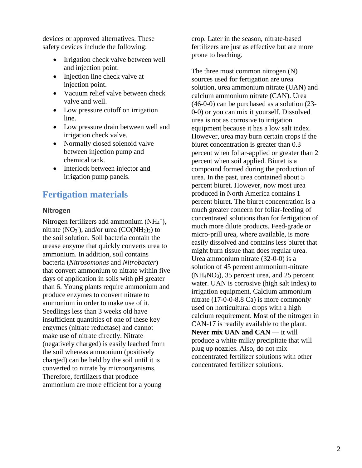devices or approved alternatives. These safety devices include the following:

- Irrigation check valve between well and injection point.
- Injection line check valve at injection point.
- Vacuum relief valve between check valve and well.
- Low pressure cutoff on irrigation line.
- Low pressure drain between well and irrigation check valve.
- Normally closed solenoid valve between injection pump and chemical tank.
- Interlock between injector and irrigation pump panels.

# **Fertigation materials**

#### **Nitrogen**

Nitrogen fertilizers add ammonium (NH<sub>4</sub><sup>+</sup>), nitrate  $(NO_3^-)$ , and/or urea  $(CO(NH_2)_2)$  to the soil solution. Soil bacteria contain the urease enzyme that quickly converts urea to ammonium. In addition, soil contains bacteria (*Nitrosomonas* and *Nitrobacter*) that convert ammonium to nitrate within five days of application in soils with pH greater than 6. Young plants require ammonium and produce enzymes to convert nitrate to ammonium in order to make use of it. Seedlings less than 3 weeks old have insufficient quantities of one of these key enzymes (nitrate reductase) and cannot make use of nitrate directly. Nitrate (negatively charged) is easily leached from the soil whereas ammonium (positively charged) can be held by the soil until it is converted to nitrate by microorganisms. Therefore, fertilizers that produce ammonium are more efficient for a young

crop. Later in the season, nitrate-based fertilizers are just as effective but are more prone to leaching.

The three most common nitrogen (N) sources used for fertigation are urea solution, urea ammonium nitrate (UAN) and calcium ammonium nitrate (CAN). Urea (46-0-0) can be purchased as a solution (23- 0-0) or you can mix it yourself. Dissolved urea is not as corrosive to irrigation equipment because it has a low salt index. However, urea may burn certain crops if the biuret concentration is greater than 0.3 percent when foliar-applied or greater than 2 percent when soil applied. Biuret is a compound formed during the production of urea. In the past, urea contained about 5 percent biuret. However, now most urea produced in North America contains 1 percent biuret. The biuret concentration is a much greater concern for foliar-feeding of concentrated solutions than for fertigation of much more dilute products. Feed-grade or micro-prill urea, where available, is more easily dissolved and contains less biuret that might burn tissue than does regular urea. Urea ammonium nitrate (32-0-0) is a solution of 45 percent ammonium-nitrate (NH4NO3), 35 percent urea, and 25 percent water. UAN is corrosive (high salt index) to irrigation equipment. Calcium ammonium nitrate (17-0-0-8.8 Ca) is more commonly used on horticultural crops with a high calcium requirement. Most of the nitrogen in CAN-17 is readily available to the plant. **Never mix UAN and CAN** — it will produce a white milky precipitate that will plug up nozzles. Also, do not mix concentrated fertilizer solutions with other concentrated fertilizer solutions.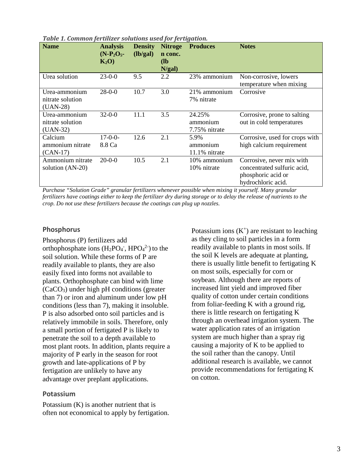| <b>Name</b>                                     | <b>Analysis</b><br>$(N-P_2O_5-$<br>$K_2O$ | <b>Density</b><br>(lb/gal) | <b>Nitroge</b><br>n conc.<br>(l <b>b</b> )<br>N/gal) | <b>Produces</b>                     | <b>Notes</b>                                                                                         |
|-------------------------------------------------|-------------------------------------------|----------------------------|------------------------------------------------------|-------------------------------------|------------------------------------------------------------------------------------------------------|
| Urea solution                                   | $23-0-0$                                  | 9.5                        | 2.2                                                  | 23% ammonium                        | Non-corrosive, lowers<br>temperature when mixing                                                     |
| Urea-ammonium<br>nitrate solution<br>$(UAN-28)$ | $28-0-0$                                  | 10.7                       | 3.0                                                  | 21% ammonium<br>7% nitrate          | Corrosive                                                                                            |
| Urea-ammonium<br>nitrate solution<br>$(UAN-32)$ | $32 - 0 - 0$                              | 11.1                       | 3.5                                                  | 24.25%<br>ammonium<br>7.75% nitrate | Corrosive, prone to salting<br>out in cold temperatures                                              |
| Calcium<br>ammonium nitrate<br>$(CAN-17)$       | $17-0-0-$<br>8.8 Ca                       | 12.6                       | 2.1                                                  | 5.9%<br>ammonium<br>11.1% nitrate   | Corrosive, used for crops with<br>high calcium requirement                                           |
| Ammonium nitrate<br>solution (AN-20)            | $20 - 0 - 0$                              | 10.5                       | 2.1                                                  | 10% ammonium<br>10% nitrate         | Corrosive, never mix with<br>concentrated sulfuric acid,<br>phosphoric acid or<br>hydrochloric acid. |

*Table 1. Common fertilizer solutions used for fertigation.*

*Purchase "Solution Grade" granular fertilizers whenever possible when mixing it yourself. Many granular fertilizers have coatings either to keep the fertilizer dry during storage or to delay the release of nutrients to the crop. Do not use these fertilizers because the coatings can plug up nozzles.*

#### **Phosphorus**

Phosphorus (P) fertilizers add orthophosphate ions  $(H_2PO_4$ <sup>-</sup>,  $HPO_4$ <sup>2-</sup>) to the soil solution. While these forms of P are readily available to plants, they are also easily fixed into forms not available to plants. Orthophosphate can bind with lime (CaCO3) under high pH conditions (greater than 7) or iron and aluminum under low pH conditions (less than 7), making it insoluble. P is also adsorbed onto soil particles and is relatively immobile in soils. Therefore, only a small portion of fertigated P is likely to penetrate the soil to a depth available to most plant roots. In addition, plants require a majority of P early in the season for root growth and late-applications of P by fertigation are unlikely to have any advantage over preplant applications.

#### **Potassium**

Potassium (K) is another nutrient that is often not economical to apply by fertigation. Potassium ions  $(K^+)$  are resistant to leaching as they cling to soil particles in a form readily available to plants in most soils. If the soil K levels are adequate at planting, there is usually little benefit to fertigating K on most soils, especially for corn or soybean. Although there are reports of increased lint yield and improved fiber quality of cotton under certain conditions from foliar-feeding K with a ground rig, there is little research on fertigating K through an overhead irrigation system. The water application rates of an irrigation system are much higher than a spray rig causing a majority of K to be applied to the soil rather than the canopy. Until additional research is available, we cannot provide recommendations for fertigating K on cotton.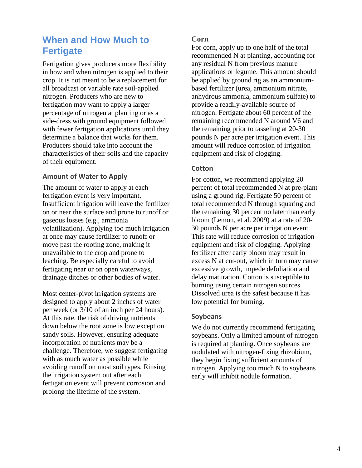# **When and How Much to Fertigate**

Fertigation gives producers more flexibility in how and when nitrogen is applied to their crop. It is not meant to be a replacement for all broadcast or variable rate soil-applied nitrogen. Producers who are new to fertigation may want to apply a larger percentage of nitrogen at planting or as a side-dress with ground equipment followed with fewer fertigation applications until they determine a balance that works for them. Producers should take into account the characteristics of their soils and the capacity of their equipment.

#### **Amount of Water to Apply**

The amount of water to apply at each fertigation event is very important. Insufficient irrigation will leave the fertilizer on or near the surface and prone to runoff or gaseous losses (e.g., ammonia volatilization). Applying too much irrigation at once may cause fertilizer to runoff or move past the rooting zone, making it unavailable to the crop and prone to leaching. Be especially careful to avoid fertigating near or on open waterways, drainage ditches or other bodies of water.

Most center-pivot irrigation systems are designed to apply about 2 inches of water per week (or 3/10 of an inch per 24 hours). At this rate, the risk of driving nutrients down below the root zone is low except on sandy soils. However, ensuring adequate incorporation of nutrients may be a challenge. Therefore, we suggest fertigating with as much water as possible while avoiding runoff on most soil types. Rinsing the irrigation system out after each fertigation event will prevent corrosion and prolong the lifetime of the system.

#### **Corn**

For corn, apply up to one half of the total recommended N at planting, accounting for any residual N from previous manure applications or legume. This amount should be applied by ground rig as an ammoniumbased fertilizer (urea, ammonium nitrate, anhydrous ammonia, ammonium sulfate) to provide a readily-available source of nitrogen. Fertigate about 60 percent of the remaining recommended N around V6 and the remaining prior to tasseling at 20-30 pounds N per acre per irrigation event. This amount will reduce corrosion of irrigation equipment and risk of clogging.

#### **Cotton**

For cotton, we recommend applying 20 percent of total recommended N at pre-plant using a ground rig. Fertigate 50 percent of total recommended N through squaring and the remaining 30 percent no later than early bloom (Lemon, et al. 2009) at a rate of 20- 30 pounds N per acre per irrigation event. This rate will reduce corrosion of irrigation equipment and risk of clogging. Applying fertilizer after early bloom may result in excess N at cut-out, which in turn may cause excessive growth, impede defoliation and delay maturation. Cotton is susceptible to burning using certain nitrogen sources. Dissolved urea is the safest because it has low potential for burning.

#### **Soybeans**

We do not currently recommend fertigating soybeans. Only a limited amount of nitrogen is required at planting. Once soybeans are nodulated with nitrogen-fixing rhizobium, they begin fixing sufficient amounts of nitrogen. Applying too much N to soybeans early will inhibit nodule formation.